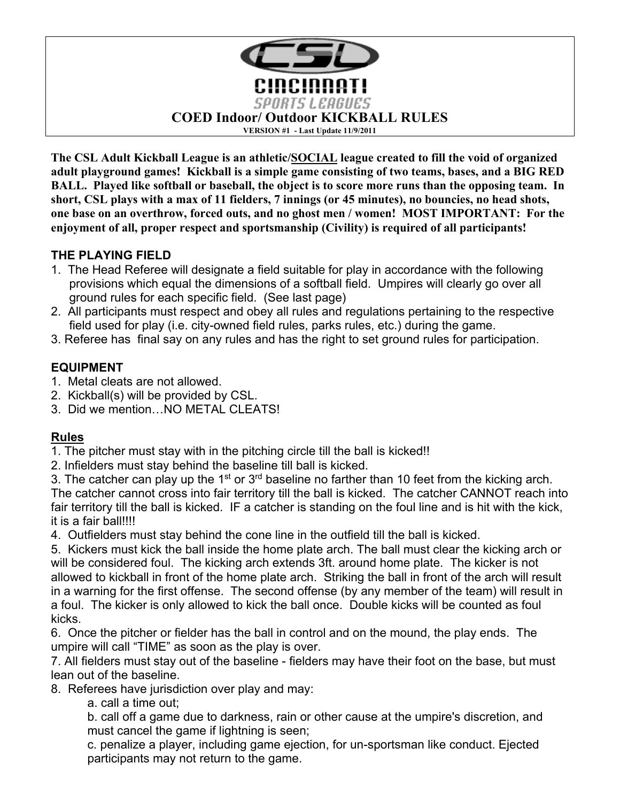

**The CSL Adult Kickball League is an athletic/SOCIAL league created to fill the void of organized adult playground games! Kickball is a simple game consisting of two teams, bases, and a BIG RED BALL. Played like softball or baseball, the object is to score more runs than the opposing team. In short, CSL plays with a max of 11 fielders, 7 innings (or 45 minutes), no bouncies, no head shots, one base on an overthrow, forced outs, and no ghost men / women! MOST IMPORTANT: For the enjoyment of all, proper respect and sportsmanship (Civility) is required of all participants!**

# **THE PLAYING FIELD**

- 1. The Head Referee will designate a field suitable for play in accordance with the following provisions which equal the dimensions of a softball field. Umpires will clearly go over all ground rules for each specific field. (See last page)
- 2. All participants must respect and obey all rules and regulations pertaining to the respective field used for play (i.e. city-owned field rules, parks rules, etc.) during the game.
- 3. Referee has final say on any rules and has the right to set ground rules for participation.

# **EQUIPMENT**

- 1. Metal cleats are not allowed.
- 2. Kickball(s) will be provided by CSL.
- 3. Did we mention…NO METAL CLEATS!

# **Rules**

1. The pitcher must stay with in the pitching circle till the ball is kicked!!

2. Infielders must stay behind the baseline till ball is kicked.

3. The catcher can play up the  $1<sup>st</sup>$  or  $3<sup>rd</sup>$  baseline no farther than 10 feet from the kicking arch. The catcher cannot cross into fair territory till the ball is kicked. The catcher CANNOT reach into fair territory till the ball is kicked. IF a catcher is standing on the foul line and is hit with the kick, it is a fair ball!!!!

4. Outfielders must stay behind the cone line in the outfield till the ball is kicked.

5. Kickers must kick the ball inside the home plate arch. The ball must clear the kicking arch or will be considered foul. The kicking arch extends 3ft. around home plate. The kicker is not allowed to kickball in front of the home plate arch. Striking the ball in front of the arch will result in a warning for the first offense. The second offense (by any member of the team) will result in a foul. The kicker is only allowed to kick the ball once. Double kicks will be counted as foul kicks.

6. Once the pitcher or fielder has the ball in control and on the mound, the play ends. The umpire will call "TIME" as soon as the play is over.

7. All fielders must stay out of the baseline - fielders may have their foot on the base, but must lean out of the baseline.

8. Referees have jurisdiction over play and may:

a. call a time out;

b. call off a game due to darkness, rain or other cause at the umpire's discretion, and must cancel the game if lightning is seen;

c. penalize a player, including game ejection, for un-sportsman like conduct. Ejected participants may not return to the game.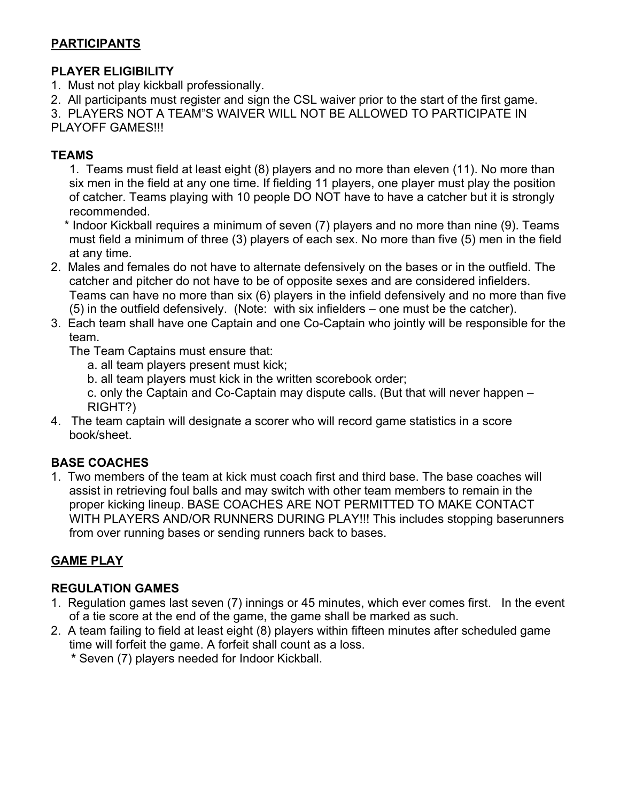# **PARTICIPANTS**

### **PLAYER ELIGIBILITY**

- 1. Must not play kickball professionally.
- 2. All participants must register and sign the CSL waiver prior to the start of the first game.
- 3. PLAYERS NOT A TEAM"S WAIVER WILL NOT BE ALLOWED TO PARTICIPATE IN

PLAYOFF GAMES!!!

### **TEAMS**

1. Teams must field at least eight (8) players and no more than eleven (11). No more than six men in the field at any one time. If fielding 11 players, one player must play the position of catcher. Teams playing with 10 people DO NOT have to have a catcher but it is strongly recommended.

 \* Indoor Kickball requires a minimum of seven (7) players and no more than nine (9). Teams must field a minimum of three (3) players of each sex. No more than five (5) men in the field at any time.

- 2. Males and females do not have to alternate defensively on the bases or in the outfield. The catcher and pitcher do not have to be of opposite sexes and are considered infielders. Teams can have no more than six (6) players in the infield defensively and no more than five (5) in the outfield defensively. (Note: with six infielders – one must be the catcher).
- 3. Each team shall have one Captain and one Co-Captain who jointly will be responsible for the team.

The Team Captains must ensure that:

- a. all team players present must kick;
- b. all team players must kick in the written scorebook order;
- c. only the Captain and Co-Captain may dispute calls. (But that will never happen RIGHT?)
- 4. The team captain will designate a scorer who will record game statistics in a score book/sheet.

# **BASE COACHES**

1. Two members of the team at kick must coach first and third base. The base coaches will assist in retrieving foul balls and may switch with other team members to remain in the proper kicking lineup. BASE COACHES ARE NOT PERMITTED TO MAKE CONTACT WITH PLAYERS AND/OR RUNNERS DURING PLAY!!! This includes stopping baserunners from over running bases or sending runners back to bases.

# **GAME PLAY**

# **REGULATION GAMES**

- 1. Regulation games last seven (7) innings or 45 minutes, which ever comes first. In the event of a tie score at the end of the game, the game shall be marked as such.
- 2. A team failing to field at least eight (8) players within fifteen minutes after scheduled game time will forfeit the game. A forfeit shall count as a loss.
	- **\*** Seven (7) players needed for Indoor Kickball.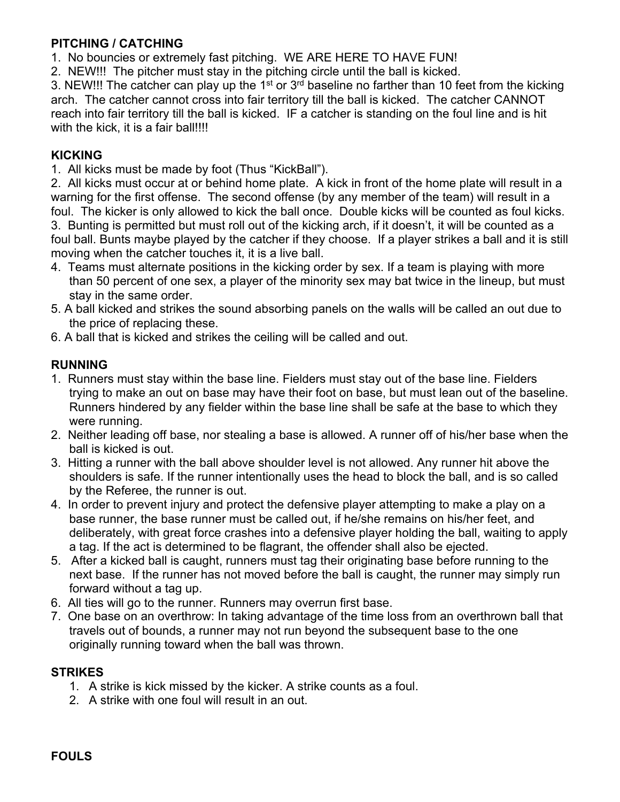### **PITCHING / CATCHING**

1. No bouncies or extremely fast pitching. WE ARE HERE TO HAVE FUN!

2. NEW!!! The pitcher must stay in the pitching circle until the ball is kicked.

3. NEW!!! The catcher can play up the 1<sup>st</sup> or  $3<sup>rd</sup>$  baseline no farther than 10 feet from the kicking arch. The catcher cannot cross into fair territory till the ball is kicked. The catcher CANNOT reach into fair territory till the ball is kicked. IF a catcher is standing on the foul line and is hit with the kick, it is a fair ball!!!!

### **KICKING**

1. All kicks must be made by foot (Thus "KickBall").

2. All kicks must occur at or behind home plate. A kick in front of the home plate will result in a warning for the first offense. The second offense (by any member of the team) will result in a foul. The kicker is only allowed to kick the ball once. Double kicks will be counted as foul kicks. 3. Bunting is permitted but must roll out of the kicking arch, if it doesn't, it will be counted as a foul ball. Bunts maybe played by the catcher if they choose. If a player strikes a ball and it is still moving when the catcher touches it, it is a live ball.

- 4. Teams must alternate positions in the kicking order by sex. If a team is playing with more than 50 percent of one sex, a player of the minority sex may bat twice in the lineup, but must stay in the same order.
- 5. A ball kicked and strikes the sound absorbing panels on the walls will be called an out due to the price of replacing these.
- 6. A ball that is kicked and strikes the ceiling will be called and out.

### **RUNNING**

- 1. Runners must stay within the base line. Fielders must stay out of the base line. Fielders trying to make an out on base may have their foot on base, but must lean out of the baseline. Runners hindered by any fielder within the base line shall be safe at the base to which they were running.
- 2. Neither leading off base, nor stealing a base is allowed. A runner off of his/her base when the ball is kicked is out.
- 3. Hitting a runner with the ball above shoulder level is not allowed. Any runner hit above the shoulders is safe. If the runner intentionally uses the head to block the ball, and is so called by the Referee, the runner is out.
- 4. In order to prevent injury and protect the defensive player attempting to make a play on a base runner, the base runner must be called out, if he/she remains on his/her feet, and deliberately, with great force crashes into a defensive player holding the ball, waiting to apply a tag. If the act is determined to be flagrant, the offender shall also be ejected.
- 5. After a kicked ball is caught, runners must tag their originating base before running to the next base. If the runner has not moved before the ball is caught, the runner may simply run forward without a tag up.
- 6. All ties will go to the runner. Runners may overrun first base.
- 7. One base on an overthrow: In taking advantage of the time loss from an overthrown ball that travels out of bounds, a runner may not run beyond the subsequent base to the one originally running toward when the ball was thrown.

#### **STRIKES**

- 1. A strike is kick missed by the kicker. A strike counts as a foul.
- 2. A strike with one foul will result in an out.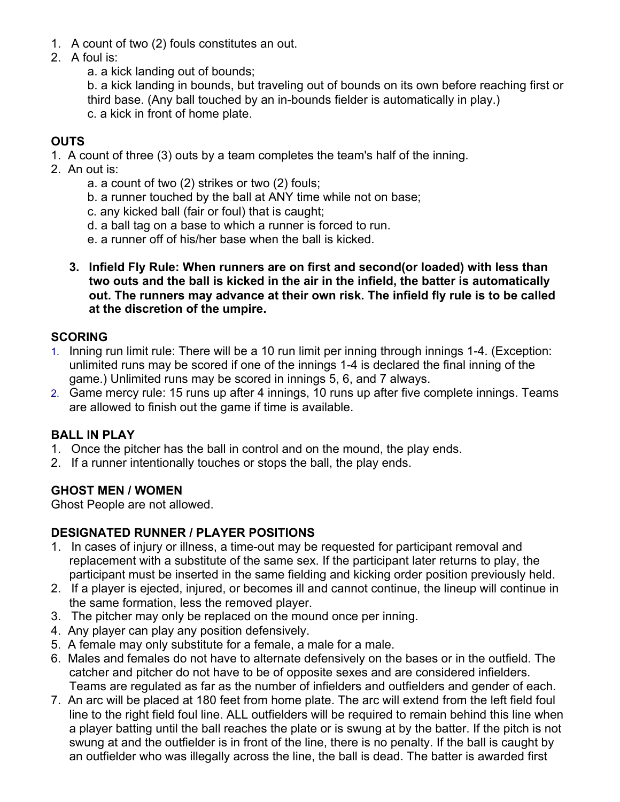- 1. A count of two (2) fouls constitutes an out.
- 2. A foul is:
	- a. a kick landing out of bounds;

b. a kick landing in bounds, but traveling out of bounds on its own before reaching first or third base. (Any ball touched by an in-bounds fielder is automatically in play.) c. a kick in front of home plate.

### **OUTS**

1. A count of three (3) outs by a team completes the team's half of the inning.

- 2. An out is:
	- a. a count of two (2) strikes or two (2) fouls;
	- b. a runner touched by the ball at ANY time while not on base;
	- c. any kicked ball (fair or foul) that is caught;
	- d. a ball tag on a base to which a runner is forced to run.
	- e. a runner off of his/her base when the ball is kicked.
	- **3. Infield Fly Rule: When runners are on first and second(or loaded) with less than two outs and the ball is kicked in the air in the infield, the batter is automatically out. The runners may advance at their own risk. The infield fly rule is to be called at the discretion of the umpire.**

#### **SCORING**

- 1. Inning run limit rule: There will be a 10 run limit per inning through innings 1-4. (Exception: unlimited runs may be scored if one of the innings 1-4 is declared the final inning of the game.) Unlimited runs may be scored in innings 5, 6, and 7 always.
- 2. Game mercy rule: 15 runs up after 4 innings, 10 runs up after five complete innings. Teams are allowed to finish out the game if time is available.

### **BALL IN PLAY**

- 1. Once the pitcher has the ball in control and on the mound, the play ends.
- 2. If a runner intentionally touches or stops the ball, the play ends.

### **GHOST MEN / WOMEN**

Ghost People are not allowed.

### **DESIGNATED RUNNER / PLAYER POSITIONS**

- 1. In cases of injury or illness, a time-out may be requested for participant removal and replacement with a substitute of the same sex. If the participant later returns to play, the participant must be inserted in the same fielding and kicking order position previously held.
- 2. If a player is ejected, injured, or becomes ill and cannot continue, the lineup will continue in the same formation, less the removed player.
- 3. The pitcher may only be replaced on the mound once per inning.
- 4. Any player can play any position defensively.
- 5. A female may only substitute for a female, a male for a male.
- 6. Males and females do not have to alternate defensively on the bases or in the outfield. The catcher and pitcher do not have to be of opposite sexes and are considered infielders. Teams are regulated as far as the number of infielders and outfielders and gender of each.
- 7. An arc will be placed at 180 feet from home plate. The arc will extend from the left field foul line to the right field foul line. ALL outfielders will be required to remain behind this line when a player batting until the ball reaches the plate or is swung at by the batter. If the pitch is not swung at and the outfielder is in front of the line, there is no penalty. If the ball is caught by an outfielder who was illegally across the line, the ball is dead. The batter is awarded first